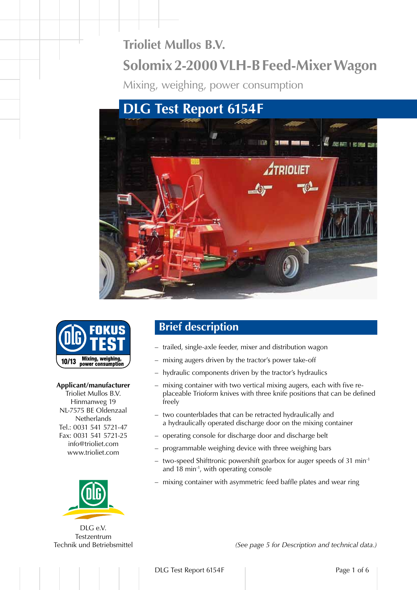# **Trioliet Mullos B.V. Solomix 2-2000 VLH-B Feed-Mixer Wagon**

Mixing, weighing, power consumption





#### **Applicant/manufacturer**

Trioliet Mullos B.V. Hinmanweg 19 NL-7575 BE Oldenzaal **Netherlands** Tel.: 0031 541 5721-47 Fax: 0031 541 5721-25 info@trioliet.com www.trioliet.com



DLG e.V. Testzentrum Technik und Betriebsmittel

### **Brief description**

- trailed, single-axle feeder, mixer and distribution wagon
- mixing augers driven by the tractor's power take-off
- hydraulic components driven by the tractor's hydraulics
- mixing container with two vertical mixing augers, each with five replaceable Trioform knives with three knife positions that can be defined freely
- two counterblades that can be retracted hydraulically and a hydraulically operated discharge door on the mixing container
- operating console for discharge door and discharge belt
- programmable weighing device with three weighing bars
- two-speed Shifttronic powershift gearbox for auger speeds of 31 min-1 and 18 min-1, with operating console
- mixing container with asymmetric feed baffle plates and wear ring

*(See page 5 for Description and technical data.)*

DLG Test Report 6154F Page 1 of 6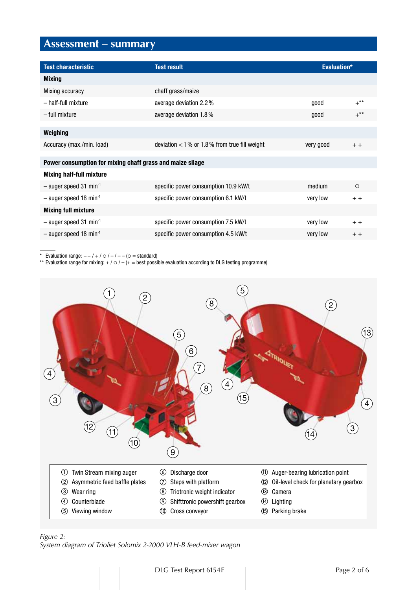### **Assessment – summary**

| <b>Test characteristic</b>                                | <b>Test result</b>                             | Evaluation* |         |
|-----------------------------------------------------------|------------------------------------------------|-------------|---------|
| <b>Mixing</b>                                             |                                                |             |         |
| Mixing accuracy                                           | chaff grass/maize                              |             |         |
| - half-full mixture                                       | average deviation 2.2%                         | qood        | $+***$  |
| – full mixture                                            | average deviation 1.8%                         | good        | $+***$  |
|                                                           |                                                |             |         |
| Weighing                                                  |                                                |             |         |
| Accuracy (max./min. load)                                 | deviation $<$ 1% or 1.8% from true fill weight | very good   | $+ +$   |
|                                                           |                                                |             |         |
| Power consumption for mixing chaff grass and maize silage |                                                |             |         |
| <b>Mixing half-full mixture</b>                           |                                                |             |         |
| $-$ auger speed 31 min <sup>-1</sup>                      | specific power consumption 10.9 kW/t           | medium      | $\circ$ |
| $-$ auger speed 18 min <sup>-1</sup>                      | specific power consumption 6.1 kW/t            | very low    | $+ +$   |
| <b>Mixing full mixture</b>                                |                                                |             |         |
| $-$ auger speed 31 min <sup>-1</sup>                      | specific power consumption 7.5 kW/t            | very low    | $+ +$   |
| $-$ auger speed 18 min <sup>-1</sup>                      | specific power consumption 4.5 kW/t            | very low    | $+ +$   |
|                                                           |                                                |             |         |

\* Evaluation range:  $++$  / + /  $\circ$  / - / - - ( $\circ$  = standard)

\*\* Evaluation range for mixing:  $+$  /  $\circ$  /  $-$  ( $+$  = best possible evaluation according to DLG testing programme)



*Figure 2: System diagram of Trioliet Solomix 2-2000 VLH-B feed-mixer wagon*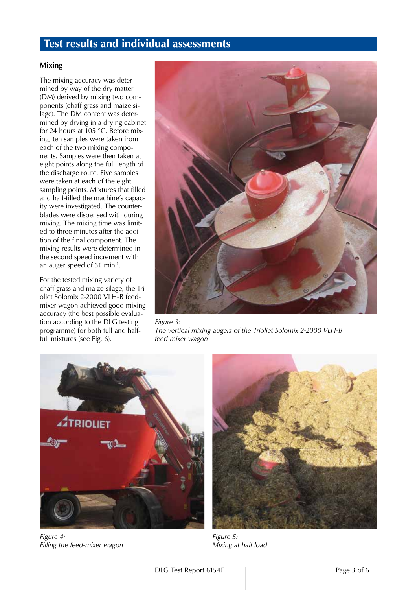### **Test results and individual assessments**

#### **Mixing**

The mixing accuracy was determined by way of the dry matter (DM) derived by mixing two components (chaff grass and maize silage). The DM content was determined by drying in a drying cabinet for 24 hours at 105 °C. Before mixing, ten samples were taken from each of the two mixing components. Samples were then taken at eight points along the full length of the discharge route. Five samples were taken at each of the eight sampling points. Mixtures that filled and half-filled the machine's capacity were investigated. The counterblades were dispensed with during mixing. The mixing time was limited to three minutes after the addition of the final component. The mixing results were determined in the second speed increment with an auger speed of 31 min-1.

For the tested mixing variety of chaff grass and maize silage, the Trioliet Solomix 2-2000 VLH-B feedmixer wagon achieved good mixing accuracy (the best possible evaluation according to the DLG testing programme) for both full and halffull mixtures (see Fig. 6).



*Figure 3: The vertical mixing augers of the Trioliet Solomix 2-2000 VLH-B feed-mixer wagon*



*Figure 4: Filling the feed-mixer wagon*



*Figure 5: Mixing at half load*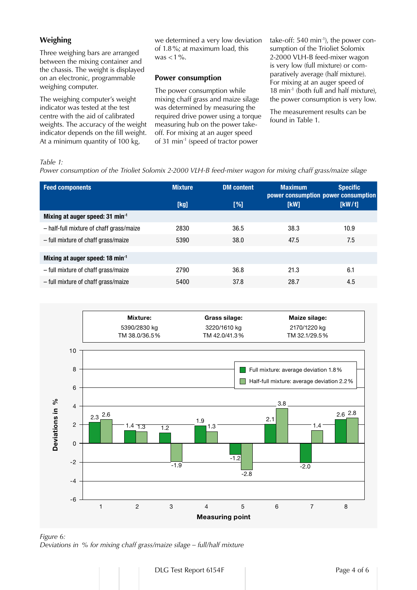#### **Weighing**

Three weighing bars are arranged between the mixing container and the chassis. The weight is displayed on an electronic, programmable weighing computer.

The weighing computer's weight indicator was tested at the test centre with the aid of calibrated weights. The accuracy of the weight indicator depends on the fill weight. At a minimum quantity of 100 kg,

we determined a very low deviation of 1.8%; at maximum load, this was  $<$  1%.

#### **Power consumption**

The power consumption while mixing chaff grass and maize silage was determined by measuring the required drive power using a torque measuring hub on the power takeoff. For mixing at an auger speed of 31 min-1 (speed of tractor power

take-off:  $540 \text{ min}^{-1}$ ), the power consumption of the Trioliet Solomix 2-2000 VLH-B feed-mixer wagon is very low (full mixture) or comparatively average (half mixture). For mixing at an auger speed of 18 min-1 (both full and half mixture), the power consumption is very low.

The measurement results can be found in Table 1.

#### *Table 1:*

*Power consumption of the Trioliet Solomix 2-2000 VLH-B feed-mixer wagon for mixing chaff grass/maize silage*

| <b>Feed components</b>                      | <b>Mixture</b> | <b>DM</b> content | <b>Maximum</b><br>power consumption power consumption | <b>Specific</b> |
|---------------------------------------------|----------------|-------------------|-------------------------------------------------------|-----------------|
|                                             | [kg]           | [%]               | [KW]                                                  | [KW/t]          |
| Mixing at auger speed: 31 min <sup>-1</sup> |                |                   |                                                       |                 |
| - half-full mixture of chaff grass/maize    | 2830           | 36.5              | 38.3                                                  | 10.9            |
| - full mixture of chaff grass/maize         | 5390           | 38.0              | 47.5                                                  | 7.5             |
|                                             |                |                   |                                                       |                 |
| Mixing at auger speed: 18 min-1             |                |                   |                                                       |                 |
| - full mixture of chaff grass/maize         | 2790           | 36.8              | 21.3                                                  | 6.1             |
| - full mixture of chaff grass/maize         | 5400           | 37.8              | 28.7                                                  | 4.5             |
|                                             |                |                   |                                                       |                 |



*Figure 6: Deviations in % for mixing chaff grass/maize silage – full/half mixture*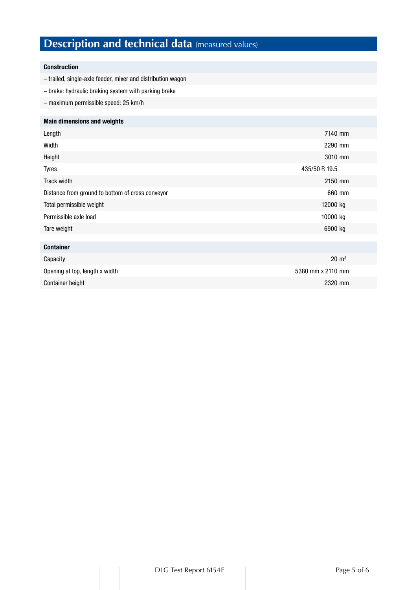## **Description and technical data** (measured values)

#### Construction

- trailed, single-axle feeder, mixer and distribution wagon
- brake: hydraulic braking system with parking brake
- maximum permissible speed: 25 km/h

#### Main dimensions and weights

| Length                                           | 7140 mm       |
|--------------------------------------------------|---------------|
| Width                                            | 2290 mm       |
| Height                                           | 3010 mm       |
| <b>Tyres</b>                                     | 435/50 R 19.5 |
| Track width                                      | 2150 mm       |
| Distance from ground to bottom of cross conveyor | 660 mm        |
| Total permissible weight                         | 12000 kg      |
| Permissible axle load                            | 10000 kg      |
| Tare weight                                      | 6900 kg       |
|                                                  |               |
| <b>Container</b>                                 |               |

| Capacity                       | $20 \text{ m}^3$  |
|--------------------------------|-------------------|
| Opening at top, length x width | 5380 mm x 2110 mm |
| <b>Container height</b>        | 2320 mm           |